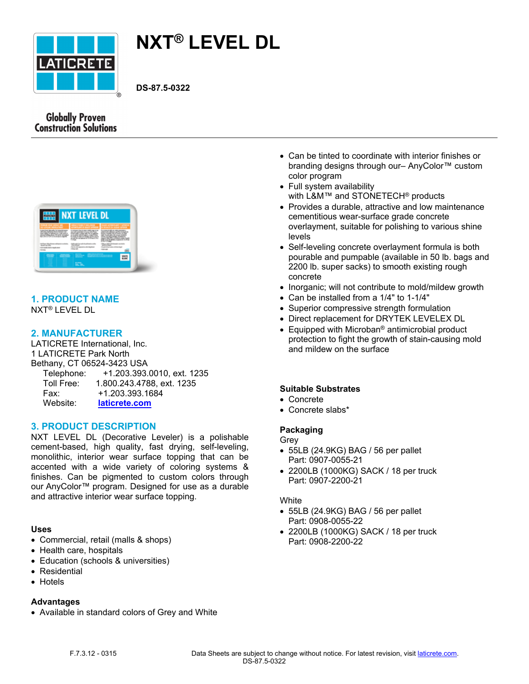

# **NXT® LEVEL DL**

**DS-87.5-0322**

# **Globally Proven Construction Solutions**



# **1. PRODUCT NAME**

NXT® LEVEL DL

# **2. MANUFACTURER**

LATICRETE International, Inc. 1 LATICRETE Park North Bethany, CT 06524-3423 USA Telephone: +1.203.393.0010, ext. 1235 Toll Free: 1.800.243.4788, ext. 1235 Fax: +1.203.393.1684 Website: **[laticrete.com](https://laticrete.com/)**

# **3. PRODUCT DESCRIPTION**

NXT LEVEL DL (Decorative Leveler) is a polishable cement-based, high quality, fast drying, self-leveling, monolithic, interior wear surface topping that can be accented with a wide variety of coloring systems & finishes. Can be pigmented to custom colors through our [AnyColor™](file:///C:/inetpub/wwwroot/LATICRETEAUTHORING/Website/ui/data/DatasheetTemplates/~/link.aspx%3F_id=2DD4D5287E9C488C9F801F0D4FF7808C&_z=z) program. Designed for use as a durable and attractive interior wear surface topping.

## **Uses**

- Commercial, retail (malls & shops)
- Health care, hospitals
- Education (schools & universities)
- Residential
- Hotels

#### **Advantages**

• Available in standard colors of Grey and White

- Can be tinted to coordinate with interior finishes or branding designs through our– [AnyColor™](file:///C:/inetpub/wwwroot/LATICRETEAUTHORING/Website/ui/data/DatasheetTemplates/~/link.aspx%3F_id=2DD4D5287E9C488C9F801F0D4FF7808C&_z=z) custom color program
- Full system availability with [L&M™](https://laticrete.com/en/concrete-construction-chemicals) and [STONETECH](https://laticrete.com/en/tile-and-stone-care-and-maintenance)<sup>®</sup> products
- Provides a durable, attractive and low maintenance cementitious wear-surface grade concrete overlayment, suitable for polishing to various shine levels
- Self-leveling concrete overlayment formula is both pourable and pumpable (available in 50 lb. bags and 2200 lb. super sacks) to smooth existing rough concrete
- Inorganic: will not contribute to mold/mildew growth
- Can be installed from a 1/4" to 1-1/4"
- Superior compressive strength formulation
- Direct replacement for DRYTEK LEVELEX DL
- Equipped with Microban® antimicrobial product protection to fight the growth of stain-causing mold and mildew on the surface

## **Suitable Substrates**

- Concrete
- Concrete slabs\*

# **Packaging**

# Grey

- 55LB (24.9KG) BAG / 56 per pallet Part: 0907-0055-21
- 2200LB (1000KG) SACK / 18 per truck Part: 0907-2200-21

#### **White**

- 55LB (24.9KG) BAG / 56 per pallet Part: 0908-0055-22
- 2200LB (1000KG) SACK / 18 per truck Part: 0908-2200-22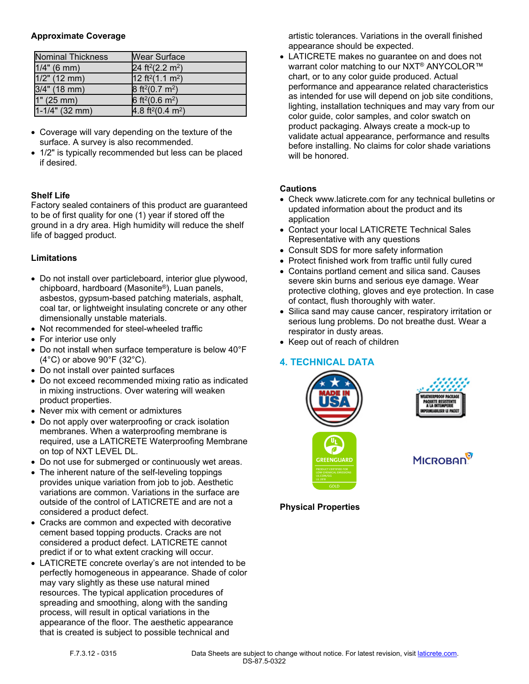#### **Approximate Coverage**

| <b>Nominal Thickness</b> | <b>Wear Surface</b>                      |
|--------------------------|------------------------------------------|
| $1/4"$ (6 mm)            | 24 ft <sup>2</sup> (2.2 m <sup>2</sup> ) |
| $1/2$ " (12 mm)          | $12 \text{ ft}^2(1.1 \text{ m}^2)$       |
| $3/4"$ (18 mm)           | $8 \text{ ft}^2(0.7 \text{ m}^2)$        |
| 1" (25 mm)               | 6 ft <sup>2</sup> (0.6 m <sup>2</sup> )  |
| $1-1/4$ " (32 mm)        | $4.8 \text{ ft}^2(0.4 \text{ m}^2)$      |

- Coverage will vary depending on the texture of the surface. A survey is also recommended.
- 1/2" is typically recommended but less can be placed if desired.

## **Shelf Life**

Factory sealed containers of this product are guaranteed to be of first quality for one (1) year if stored off the ground in a dry area. High humidity will reduce the shelf life of bagged product.

## **Limitations**

- Do not install over particleboard, interior glue plywood, chipboard, hardboard (Masonite®), Luan panels, asbestos, gypsum-based patching materials, asphalt, coal tar, or lightweight insulating concrete or any other dimensionally unstable materials.
- Not recommended for steel-wheeled traffic
- For interior use only
- Do not install when surface temperature is below 40°F (4°C) or above 90°F (32°C).
- Do not install over painted surfaces
- Do not exceed recommended mixing ratio as indicated in mixing instructions. Over watering will weaken product properties.
- Never mix with cement or admixtures
- Do not apply over waterproofing or crack isolation membranes. When a waterproofing membrane is required, use a LATICRETE Waterproofing Membrane on top of NXT LEVEL DL.
- Do not use for submerged or continuously wet areas.
- The inherent nature of the self-leveling toppings provides unique variation from job to job. Aesthetic variations are common. Variations in the surface are outside of the control of LATICRETE and are not a considered a product defect.
- Cracks are common and expected with decorative cement based topping products. Cracks are not considered a product defect. LATICRETE cannot predict if or to what extent cracking will occur.
- LATICRETE concrete overlay's are not intended to be perfectly homogeneous in appearance. Shade of color may vary slightly as these use natural mined resources. The typical application procedures of spreading and smoothing, along with the sanding process, will result in optical variations in the appearance of the floor. The aesthetic appearance that is created is subject to possible technical and

artistic tolerances. Variations in the overall finished appearance should be expected.

• LATICRETE makes no guarantee on and does not warrant color matching to our NXT<sup>®</sup> ANYCOLOR<sup>™</sup> chart, or to any color guide produced. Actual performance and appearance related characteristics as intended for use will depend on job site conditions, lighting, installation techniques and may vary from our color guide, color samples, and color swatch on product packaging. Always create a mock-up to validate actual appearance, performance and results before installing. No claims for color shade variations will be honored

## **Cautions**

- Check www.laticrete.com for any technical bulletins or updated information about the product and its application
- Contact your local LATICRETE Technical Sales Representative with any questions
- Consult SDS for more safety information
- Protect finished work from traffic until fully cured
- Contains portland cement and silica sand. Causes severe skin burns and serious eye damage. Wear protective clothing, gloves and eye protection. In case of contact, flush thoroughly with water.
- Silica sand may cause cancer, respiratory irritation or serious lung problems. Do not breathe dust. Wear a respirator in dusty areas.
- Keep out of reach of children

# **4. TECHNICAL DATA**







**MICROBAN** 

**Physical Properties**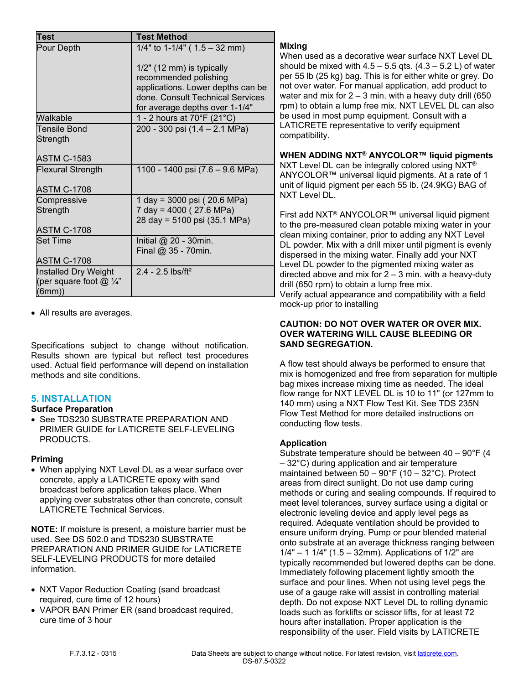| <b>Test</b>                          | <b>Test Method</b>                |
|--------------------------------------|-----------------------------------|
| Pour Depth                           | 1/4" to 1-1/4" ( $1.5 - 32$ mm)   |
|                                      | 1/2" (12 mm) is typically         |
|                                      | recommended polishing             |
|                                      | applications. Lower depths can be |
|                                      | done, Consult Technical Services  |
|                                      | for average depths over 1-1/4"    |
| Walkable                             | 1 - 2 hours at 70°F (21°C)        |
| <b>Tensile Bond</b>                  | 200 - 300 psi (1.4 - 2.1 MPa)     |
| Strength                             |                                   |
|                                      |                                   |
| <b>ASTM C-1583</b>                   |                                   |
| <b>Flexural Strength</b>             | 1100 - 1400 psi (7.6 – 9.6 MPa)   |
|                                      |                                   |
| ASTM C-1708                          |                                   |
| Compressive                          | 1 day = 3000 psi (20.6 MPa)       |
| Strength                             | 7 day = 4000 (27.6 MPa)           |
|                                      | 28 day = 5100 psi (35.1 MPa)      |
| ASTM C-1708                          |                                   |
| Set Time                             | Initial $@$ 20 - 30min.           |
|                                      | Final $@35 - 70$ min.             |
| <b>ASTM C-1708</b>                   |                                   |
| Installed Dry Weight                 | $2.4 - 2.5$ lbs/ft <sup>2</sup>   |
| (per square foot $@$ $\frac{1}{4}$ " |                                   |
| (6mm)                                |                                   |

• All results are averages.

Specifications subject to change without notification. Results shown are typical but reflect test procedures used. Actual field performance will depend on installation methods and site conditions.

# **5. INSTALLATION**

## **Surface Preparation**

• See TDS230 SUBSTRATE PREPARATION AND PRIMER GUIDE for LATICRETE SELF-LEVELING PRODUCTS.

## **Priming**

• When applying NXT Level DL as a wear surface over concrete, apply a LATICRETE epoxy with sand broadcast before application takes place. When applying over substrates other than concrete, consult LATICRETE Technical Services.

**NOTE:** If moisture is present, a moisture barrier must be used. See DS 502.0 and TDS230 SUBSTRATE PREPARATION AND PRIMER GUIDE for LATICRETE SELF-LEVELING PRODUCTS for more detailed information.

- NXT Vapor Reduction Coating (sand broadcast required, cure time of 12 hours)
- VAPOR BAN Primer ER (sand broadcast required, cure time of 3 hour

# **Mixing**

When used as a decorative wear surface NXT Level DL should be mixed with  $4.5 - 5.5$  qts.  $(4.3 - 5.2 \text{ L})$  of water per 55 lb (25 kg) bag. This is for either white or grey. Do not over water. For manual application, add product to water and mix for  $2 - 3$  min. with a heavy duty drill (650) rpm) to obtain a lump free mix. NXT LEVEL DL can also be used in most pump equipment. Consult with a LATICRETE representative to verify equipment compatibility.

**WHEN ADDING NXT® ANYCOLOR™ liquid pigments**

NXT Level DL can be integrally colored using NXT® ANYCOLOR™ universal liquid pigments. At a rate of 1 unit of liquid pigment per each 55 lb. (24.9KG) BAG of NXT Level DL.

First add NXT® ANYCOLOR™ universal liquid pigment to the pre-measured clean potable mixing water in your clean mixing container, prior to adding any NXT Level DL powder. Mix with a drill mixer until pigment is evenly dispersed in the mixing water. Finally add your NXT Level DL powder to the pigmented mixing water as directed above and mix for  $2 - 3$  min. with a heavy-duty drill (650 rpm) to obtain a lump free mix. Verify actual appearance and compatibility with a field mock-up prior to installing

#### **CAUTION: DO NOT OVER WATER OR OVER MIX. OVER WATERING WILL CAUSE BLEEDING OR SAND SEGREGATION.**

A flow test should always be performed to ensure that mix is homogenized and free from separation for multiple bag mixes increase mixing time as needed. The ideal flow range for NXT LEVEL DL is 10 to 11" (or 127mm to 140 mm) using a NXT Flow Test Kit. See TDS 235N Flow Test Method for more detailed instructions on conducting flow tests.

# **Application**

Substrate temperature should be between  $40 - 90^{\circ}F(4)$ – 32°C) during application and air temperature maintained between  $50 - 90^{\circ}$ F (10 - 32 $^{\circ}$ C). Protect areas from direct sunlight. Do not use damp curing methods or curing and sealing compounds. If required to meet level tolerances, survey surface using a digital or electronic leveling device and apply level pegs as required. Adequate ventilation should be provided to ensure uniform drying. Pump or pour blended material onto substrate at an average thickness ranging between  $1/4" - 11/4" (1.5 - 32mm)$ . Applications of  $1/2"$  are typically recommended but lowered depths can be done. Immediately following placement lightly smooth the surface and pour lines. When not using level pegs the use of a gauge rake will assist in controlling material depth. Do not expose NXT Level DL to rolling dynamic loads such as forklifts or scissor lifts, for at least 72 hours after installation. Proper application is the responsibility of the user. Field visits by LATICRETE